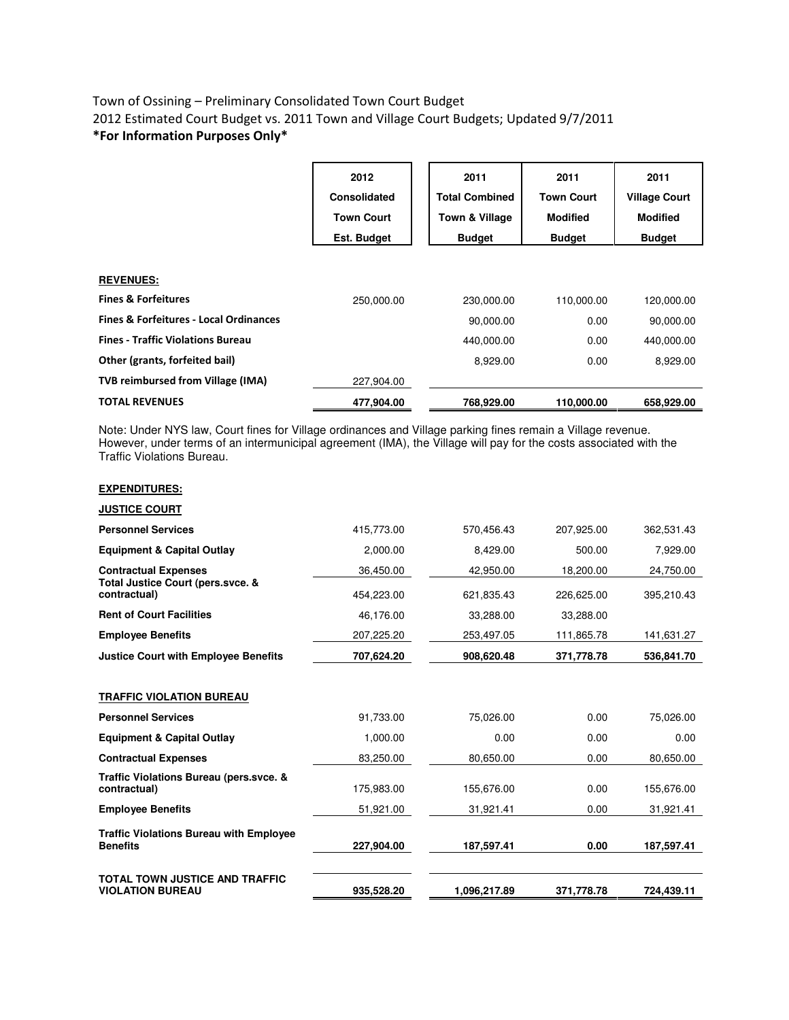## Town of Ossining – Preliminary Consolidated Town Court Budget 2012 Estimated Court Budget vs. 2011 Town and Village Court Budgets; Updated 9/7/2011 \*For Information Purposes Only\*

|                                                   | 2012<br>Consolidated<br><b>Town Court</b><br>Est. Budget | 2011<br><b>Total Combined</b><br>Town & Village<br><b>Budget</b> | 2011<br><b>Town Court</b><br><b>Modified</b><br><b>Budget</b> | 2011<br><b>Village Court</b><br><b>Modified</b><br><b>Budget</b> |
|---------------------------------------------------|----------------------------------------------------------|------------------------------------------------------------------|---------------------------------------------------------------|------------------------------------------------------------------|
| <b>REVENUES:</b>                                  |                                                          |                                                                  |                                                               |                                                                  |
| <b>Fines &amp; Forfeitures</b>                    | 250,000.00                                               | 230,000.00                                                       | 110,000.00                                                    | 120,000.00                                                       |
| <b>Fines &amp; Forfeitures - Local Ordinances</b> |                                                          | 90,000.00                                                        | 0.00                                                          | 90,000.00                                                        |
| <b>Fines - Traffic Violations Bureau</b>          |                                                          | 440,000.00                                                       | 0.00                                                          | 440,000.00                                                       |
| Other (grants, forfeited bail)                    |                                                          | 8,929.00                                                         | 0.00                                                          | 8,929.00                                                         |
| TVB reimbursed from Village (IMA)                 | 227,904.00                                               |                                                                  |                                                               |                                                                  |
| <b>TOTAL REVENUES</b>                             | 477,904.00                                               | 768,929.00                                                       | 110,000.00                                                    | 658,929.00                                                       |

Note: Under NYS law, Court fines for Village ordinances and Village parking fines remain a Village revenue. However, under terms of an intermunicipal agreement (IMA), the Village will pay for the costs associated with the Traffic Violations Bureau.

|--|

| <b>JUSTICE COURT</b>                                              |            |              |            |            |
|-------------------------------------------------------------------|------------|--------------|------------|------------|
| <b>Personnel Services</b>                                         | 415,773.00 | 570,456.43   | 207,925.00 | 362,531.43 |
| <b>Equipment &amp; Capital Outlay</b>                             | 2,000.00   | 8,429.00     | 500.00     | 7,929.00   |
| <b>Contractual Expenses</b>                                       | 36,450.00  | 42,950.00    | 18,200.00  | 24,750.00  |
| Total Justice Court (pers.svce. &<br>contractual)                 | 454.223.00 | 621,835.43   | 226,625.00 | 395,210.43 |
| <b>Rent of Court Facilities</b>                                   | 46,176.00  | 33,288.00    | 33,288.00  |            |
| <b>Employee Benefits</b>                                          | 207,225.20 | 253,497.05   | 111,865.78 | 141,631.27 |
| <b>Justice Court with Employee Benefits</b>                       | 707,624.20 | 908,620.48   | 371,778.78 | 536,841.70 |
|                                                                   |            |              |            |            |
| <b>TRAFFIC VIOLATION BUREAU</b>                                   |            |              |            |            |
| <b>Personnel Services</b>                                         | 91,733.00  | 75,026.00    | 0.00       | 75,026.00  |
| <b>Equipment &amp; Capital Outlay</b>                             | 1,000.00   | 0.00         | 0.00       | 0.00       |
| <b>Contractual Expenses</b>                                       | 83,250.00  | 80,650.00    | 0.00       | 80,650.00  |
| Traffic Violations Bureau (pers.svce. &<br>contractual)           | 175,983.00 | 155,676.00   | 0.00       | 155,676.00 |
| <b>Employee Benefits</b>                                          | 51,921.00  | 31,921.41    | 0.00       | 31,921.41  |
| <b>Traffic Violations Bureau with Employee</b><br><b>Benefits</b> | 227,904.00 | 187,597.41   | 0.00       | 187,597.41 |
| TOTAL TOWN JUSTICE AND TRAFFIC<br><b>VIOLATION BUREAU</b>         | 935,528.20 | 1,096,217.89 | 371.778.78 | 724.439.11 |